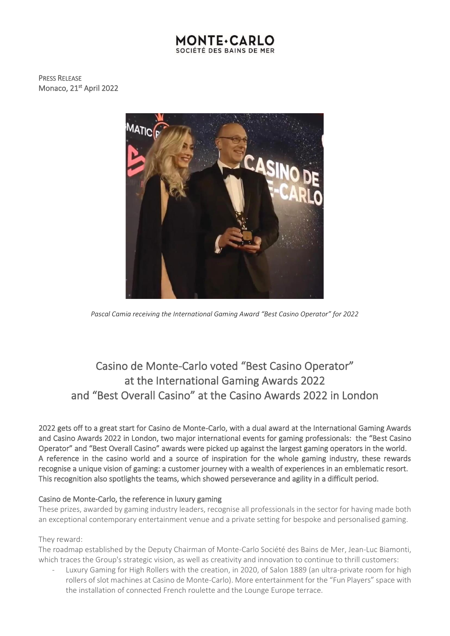## **MONTE**+CA SOCIÉTÉ DES BAINS DE MER

PRESS RELEASE Monaco, 21<sup>st</sup> April 2022



*Pascal Camia receiving the International Gaming Award "Best Casino Operator" for 2022*

# Casino de Monte-Carlo voted "Best Casino Operator" at the International Gaming Awards 2022 and "Best Overall Casino" at the Casino Awards 2022 in London

2022 gets off to a great start for Casino de Monte-Carlo, with a dual award at the International Gaming Awards and Casino Awards 2022 in London, two major international events for gaming professionals: the "Best Casino Operator" and "Best Overall Casino" awards were picked up against the largest gaming operators in the world. A reference in the casino world and a source of inspiration for the whole gaming industry, these rewards recognise a unique vision of gaming: a customer journey with a wealth of experiences in an emblematic resort. This recognition also spotlights the teams, which showed perseverance and agility in a difficult period.

## Casino de Monte-Carlo, the reference in luxury gaming

These prizes, awarded by gaming industry leaders, recognise all professionals in the sector for having made both an exceptional contemporary entertainment venue and a private setting for bespoke and personalised gaming.

## They reward:

The roadmap established by the Deputy Chairman of Monte-Carlo Société des Bains de Mer, Jean-Luc Biamonti, which traces the Group's strategic vision, as well as creativity and innovation to continue to thrill customers:

Luxury Gaming for High Rollers with the creation, in 2020, of Salon 1889 (an ultra-private room for high rollers of slot machines at Casino de Monte-Carlo). More entertainment for the "Fun Players" space with the installation of connected French roulette and the Lounge Europe terrace.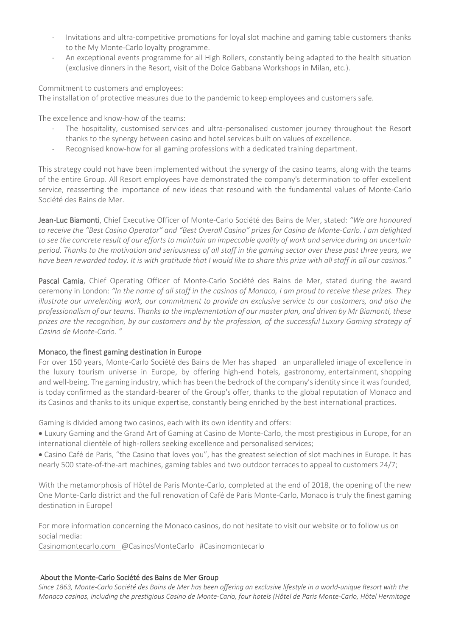- Invitations and ultra-competitive promotions for loyal slot machine and gaming table customers thanks to the My Monte-Carlo loyalty programme.
- An exceptional events programme for all High Rollers, constantly being adapted to the health situation (exclusive dinners in the Resort, visit of the Dolce Gabbana Workshops in Milan, etc.).

Commitment to customers and employees:

The installation of protective measures due to the pandemic to keep employees and customers safe.

The excellence and know-how of the teams:

- The hospitality, customised services and ultra-personalised customer journey throughout the Resort thanks to the synergy between casino and hotel services built on values of excellence.
- Recognised know-how for all gaming professions with a dedicated training department.

This strategy could not have been implemented without the synergy of the casino teams, along with the teams of the entire Group. All Resort employees have demonstrated the company's determination to offer excellent service, reasserting the importance of new ideas that resound with the fundamental values of Monte-Carlo Société des Bains de Mer.

Jean-Luc Biamonti, Chief Executive Officer of Monte-Carlo Société des Bains de Mer, stated: *"We are honoured to receive the "Best Casino Operator" and "Best Overall Casino" prizes for Casino de Monte-Carlo. I am delighted*  to see the concrete result of our efforts to maintain an impeccable quality of work and service during an uncertain *period. Thanks to the motivation and seriousness of all staff in the gaming sector over these past three years, we have been rewarded today. It is with gratitude that I would like to share this prize with all staff in all our casinos."*

Pascal Camia, Chief Operating Officer of Monte-Carlo Société des Bains de Mer, stated during the award ceremony in London: *"In the name of all staff in the casinos of Monaco, I am proud to receive these prizes. They illustrate our unrelenting work, our commitment to provide an exclusive service to our customers, and also the professionalism of our teams. Thanks to the implementation of our master plan, and driven by Mr Biamonti, these prizes are the recognition, by our customers and by the profession, of the successful Luxury Gaming strategy of Casino de Monte-Carlo. "*

## Monaco, the finest gaming destination in Europe

For over 150 years, Monte-Carlo Société des Bains de Mer has shaped an unparalleled image of excellence in the luxury tourism universe in Europe, by offering high-end hotels, gastronomy, entertainment, shopping and well-being. The gaming industry, which has been the bedrock of the company's identity since it was founded, is today confirmed as the standard-bearer of the Group's offer, thanks to the global reputation of Monaco and its Casinos and thanks to its unique expertise, constantly being enriched by the best international practices.

Gaming is divided among two casinos, each with its own identity and offers:

• Luxury Gaming and the Grand Art of Gaming at Casino de Monte-Carlo, the most prestigious in Europe, for an international clientèle of high-rollers seeking excellence and personalised services;

• Casino Café de Paris, "the Casino that loves you", has the greatest selection of slot machines in Europe. It has nearly 500 state-of-the-art machines, gaming tables and two outdoor terraces to appeal to customers 24/7;

With the metamorphosis of Hôtel de Paris Monte-Carlo, completed at the end of 2018, the opening of the new One Monte-Carlo district and the full renovation of Café de Paris Monte-Carlo, Monaco is truly the finest gaming destination in Europe!

For more information concerning the Monaco casinos, do not hesitate to visit our website or to follow us on social media:

[Casinomontecarlo.com](http://casinomontecarlo.com/) @CasinosMonteCarlo #Casinomontecarlo

#### About the Monte-Carlo Société des Bains de Mer Group

*Since 1863, Monte-Carlo Société des Bains de Mer has been offering an exclusive lifestyle in a world-unique Resort with the Monaco casinos, including the prestigious Casino de Monte-Carlo, four hotels (Hôtel de Paris Monte-Carlo, Hôtel Hermitage*